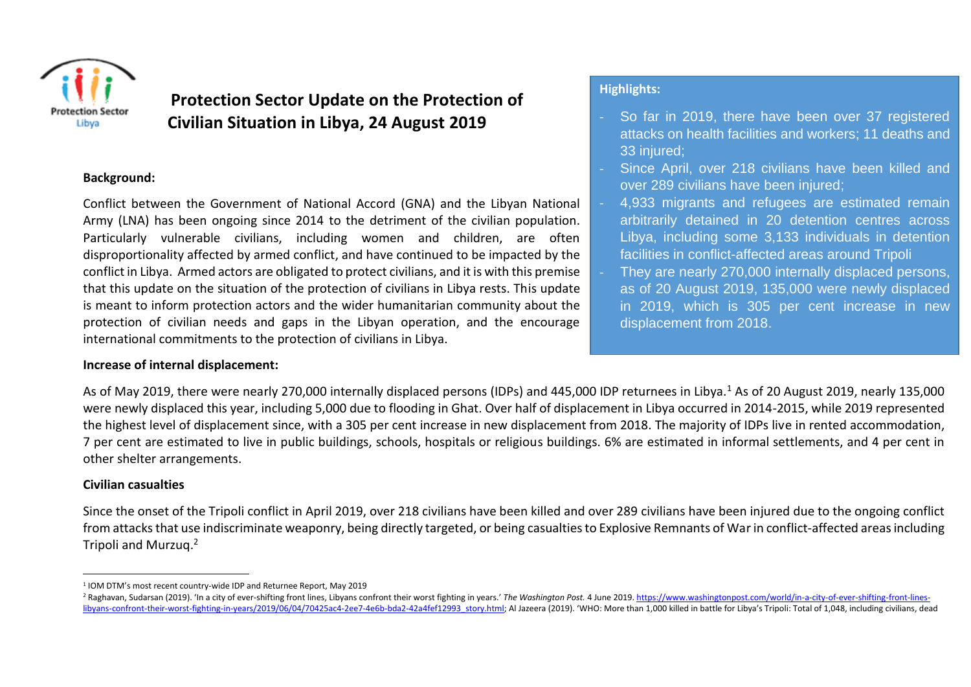

# **Protection Sector Update on the Protection of Civilian Situation in Libya, 24 August 2019**

#### **Background:**

Conflict between the Government of National Accord (GNA) and the Libyan National Army (LNA) has been ongoing since 2014 to the detriment of the civilian population. Particularly vulnerable civilians, including women and children, are often disproportionality affected by armed conflict, and have continued to be impacted by the conflict in Libya. Armed actors are obligated to protect civilians, and it is with this premise that this update on the situation of the protection of civilians in Libya rests. This update is meant to inform protection actors and the wider humanitarian community about the protection of civilian needs and gaps in the Libyan operation, and the encourage international commitments to the protection of civilians in Libya.

#### **Increase of internal displacement:**

## **Highlights:**

- So far in 2019, there have been over 37 registered attacks on health facilities and workers; 11 deaths and 33 injured;
- Since April, over 218 civilians have been killed and over 289 civilians have been injured;
- 4,933 migrants and refugees are estimated remain arbitrarily detained in 20 detention centres across Libya, including some 3,133 individuals in detention facilities in conflict-affected areas around Tripoli
- They are nearly 270,000 internally displaced persons, as of 20 August 2019, 135,000 were newly displaced in 2019, which is 305 per cent increase in new displacement from 2018.

As of May 2019, there were nearly 270,000 internally displaced persons (IDPs) and 445,000 IDP returnees in Libya.<sup>1</sup> As of 20 August 2019, nearly 135,000 were newly displaced this year, including 5,000 due to flooding in Ghat. Over half of displacement in Libya occurred in 2014-2015, while 2019 represented the highest level of displacement since, with a 305 per cent increase in new displacement from 2018. The majority of IDPs live in rented accommodation, 7 per cent are estimated to live in public buildings, schools, hospitals or religious buildings. 6% are estimated in informal settlements, and 4 per cent in other shelter arrangements.

## **Civilian casualties**

 $\overline{a}$ 

Since the onset of the Tripoli conflict in April 2019, over 218 civilians have been killed and over 289 civilians have been injured due to the ongoing conflict from attacks that use indiscriminate weaponry, being directly targeted, or being casualties to Explosive Remnants of Warin conflict-affected areas including Tripoli and Murzuq. 2

<sup>1</sup> IOM DTM's most recent country-wide IDP and Returnee Report, May 2019

<sup>&</sup>lt;sup>2</sup> Raghavan, Sudarsan (2019). 'In a city of ever-shifting front lines, Libyans confront their worst fighting in years.' The Washington Post. 4 June 2019. https://www.washingtonpost.com/world/in-a-city-of-ever-shifting-fro libvans-confront-their-worst-fighting-in-years/2019/06/04/70425ac4-2ee7-4e6b-bda2-42a4fef12993 story.html; Al Jazeera (2019). 'WHO: More than 1,000 killed in battle for Libya's Tripoli: Total of 1,048, including civilians,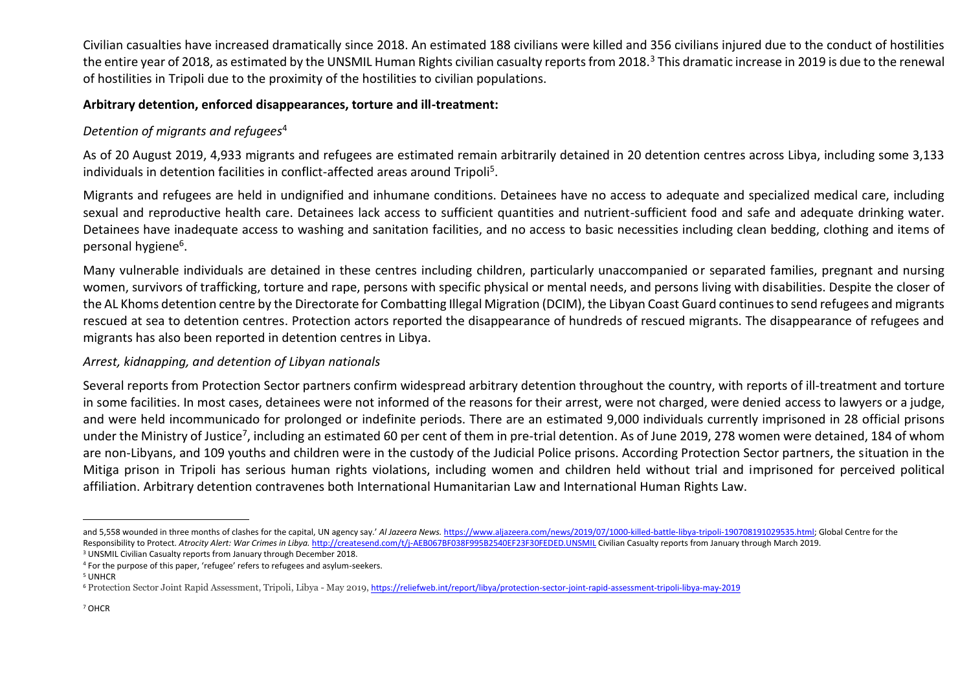Civilian casualties have increased dramatically since 2018. An estimated 188 civilians were killed and 356 civilians injured due to the conduct of hostilities the entire year of 2018, as estimated by the UNSMIL Human Rights civilian casualty reports from 2018.<sup>3</sup> This dramatic increase in 2019 is due to the renewal of hostilities in Tripoli due to the proximity of the hostilities to civilian populations.

## **Arbitrary detention, enforced disappearances, torture and ill-treatment:**

# *Detention of migrants and refugees*<sup>4</sup>

As of 20 August 2019, 4,933 migrants and refugees are estimated remain arbitrarily detained in 20 detention centres across Libya, including some 3,133 individuals in detention facilities in conflict-affected areas around Tripoli<sup>5</sup>.

Migrants and refugees are held in undignified and inhumane conditions. Detainees have no access to adequate and specialized medical care, including sexual and reproductive health care. Detainees lack access to sufficient quantities and nutrient-sufficient food and safe and adequate drinking water. Detainees have inadequate access to washing and sanitation facilities, and no access to basic necessities including clean bedding, clothing and items of personal hygiene<sup>6</sup>.

Many vulnerable individuals are detained in these centres including children, particularly unaccompanied or separated families, pregnant and nursing women, survivors of trafficking, torture and rape, persons with specific physical or mental needs, and persons living with disabilities. Despite the closer of the AL Khoms detention centre by the Directorate for Combatting Illegal Migration (DCIM), the Libyan Coast Guard continues to send refugees and migrants rescued at sea to detention centres. Protection actors reported the disappearance of hundreds of rescued migrants. The disappearance of refugees and migrants has also been reported in detention centres in Libya.

# *Arrest, kidnapping, and detention of Libyan nationals*

Several reports from Protection Sector partners confirm widespread arbitrary detention throughout the country, with reports of ill-treatment and torture in some facilities. In most cases, detainees were not informed of the reasons for their arrest, were not charged, were denied access to lawyers or a judge, and were held incommunicado for prolonged or indefinite periods. There are an estimated 9,000 individuals currently imprisoned in 28 official prisons under the Ministry of Justice<sup>7</sup>, including an estimated 60 per cent of them in pre-trial detention. As of June 2019, 278 women were detained, 184 of whom are non-Libyans, and 109 youths and children were in the custody of the Judicial Police prisons. According Protection Sector partners, the situation in the Mitiga prison in Tripoli has serious human rights violations, including women and children held without trial and imprisoned for perceived political affiliation. Arbitrary detention contravenes both International Humanitarian Law and International Human Rights Law.

 $\overline{a}$ and 5,558 wounded in three months of clashes for the capital, UN agency say.' *Al Jazeera News.* [https://www.aljazeera.com/news/2019/07/1000-killed-battle-libya-tripoli-190708191029535.html;](https://www.aljazeera.com/news/2019/07/1000-killed-battle-libya-tripoli-190708191029535.html) Global Centre for the Responsibility to Protect. Atrocity Alert: War Crimes in Libya. http://createsend.com/t/i-AEB067BF038F995B2540EF23F30FEDED.UNSMIL Civilian Casualty reports from January through March 2019.

<sup>&</sup>lt;sup>3</sup> UNSMIL Civilian Casualty reports from January through December 2018.

<sup>4</sup> For the purpose of this paper, 'refugee' refers to refugees and asylum-seekers.

<sup>5</sup> UNHCR

<sup>6</sup> Protection Sector Joint Rapid Assessment, Tripoli, Libya - May 2019, <https://reliefweb.int/report/libya/protection-sector-joint-rapid-assessment-tripoli-libya-may-2019>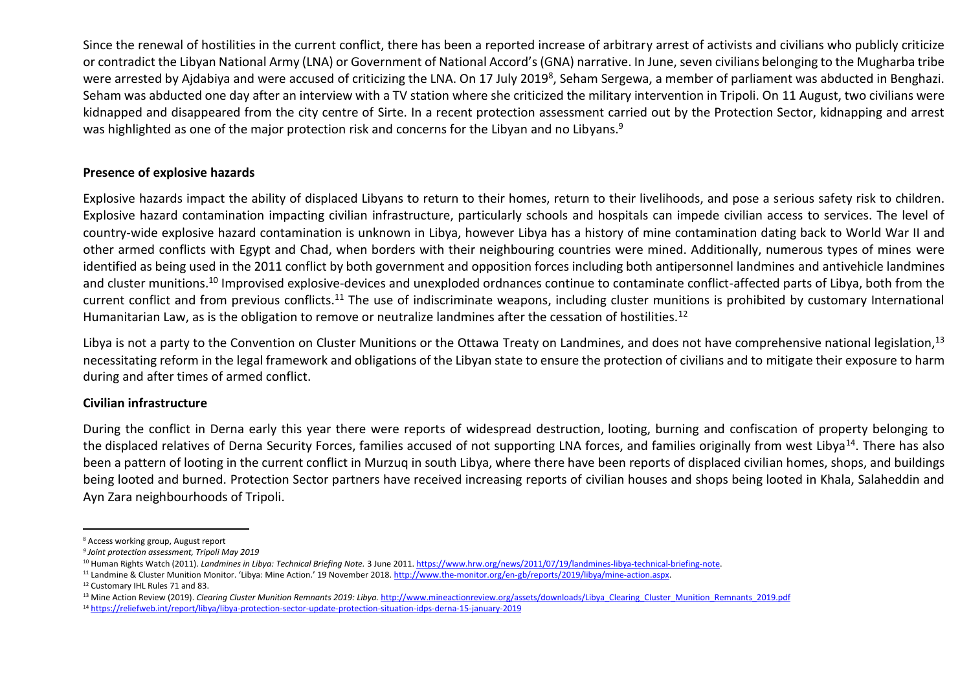Since the renewal of hostilities in the current conflict, there has been a reported increase of arbitrary arrest of activists and civilians who publicly criticize or contradict the Libyan National Army (LNA) or Government of National Accord's (GNA) narrative. In June, seven civilians belonging to the Mugharba tribe were arrested by Ajdabiya and were accused of criticizing the LNA. On 17 July 2019<sup>8</sup>, Seham Sergewa, a member of parliament was abducted in Benghazi. Seham was abducted one day after an interview with a TV station where she criticized the military intervention in Tripoli. On 11 August, two civilians were kidnapped and disappeared from the city centre of Sirte. In a recent protection assessment carried out by the Protection Sector, kidnapping and arrest was highlighted as one of the major protection risk and concerns for the Libyan and no Libyans.<sup>9</sup>

#### **Presence of explosive hazards**

Explosive hazards impact the ability of displaced Libyans to return to their homes, return to their livelihoods, and pose a serious safety risk to children. Explosive hazard contamination impacting civilian infrastructure, particularly schools and hospitals can impede civilian access to services. The level of country-wide explosive hazard contamination is unknown in Libya, however Libya has a history of mine contamination dating back to World War II and other armed conflicts with Egypt and Chad, when borders with their neighbouring countries were mined. Additionally, numerous types of mines were identified as being used in the 2011 conflict by both government and opposition forces including both antipersonnel landmines and antivehicle landmines and cluster munitions.<sup>10</sup> Improvised explosive-devices and unexploded ordnances continue to contaminate conflict-affected parts of Libya, both from the current conflict and from previous conflicts.<sup>11</sup> The use of indiscriminate weapons, including cluster munitions is prohibited by customary International Humanitarian Law, as is the obligation to remove or neutralize landmines after the cessation of hostilities.<sup>12</sup>

Libya is not a party to the Convention on Cluster Munitions or the Ottawa Treaty on Landmines, and does not have comprehensive national legislation.<sup>13</sup> necessitating reform in the legal framework and obligations of the Libyan state to ensure the protection of civilians and to mitigate their exposure to harm during and after times of armed conflict.

#### **Civilian infrastructure**

During the conflict in Derna early this year there were reports of widespread destruction, looting, burning and confiscation of property belonging to the displaced relatives of Derna Security Forces, families accused of not supporting LNA forces, and families originally from west Libya<sup>14</sup>. There has also been a pattern of looting in the current conflict in Murzuq in south Libya, where there have been reports of displaced civilian homes, shops, and buildings being looted and burned. Protection Sector partners have received increasing reports of civilian houses and shops being looted in Khala, Salaheddin and Ayn Zara neighbourhoods of Tripoli.

 $\overline{a}$ 

<sup>8</sup> Access working group, August report

*<sup>9</sup> Joint protection assessment, Tripoli May 2019*

<sup>&</sup>lt;sup>10</sup> Human Rights Watch (2011). *Landmines in Libya: Technical Briefing Note.* 3 June 2011[. https://www.hrw.org/news/2011/07/19/landmines-libya-technical-briefing-note.](https://www.hrw.org/news/2011/07/19/landmines-libya-technical-briefing-note)

 $11$  Landmine & Cluster Munition Monitor. 'Libya: Mine Action.' 19 November 2018[. http://www.the-monitor.org/en-gb/reports/2019/libya/mine-action.aspx.](http://www.the-monitor.org/en-gb/reports/2019/libya/mine-action.aspx)

<sup>12</sup> Customary IHL Rules 71 and 83.

<sup>&</sup>lt;sup>13</sup> Mine Action Review (2019). *Clearing Cluster Munition Remnants 2019: Libya.* [http://www.mineactionreview.org/assets/downloads/Libya\\_Clearing\\_Cluster\\_Munition\\_Remnants\\_2019.pdf](http://www.mineactionreview.org/assets/downloads/Libya_Clearing_Cluster_Munition_Remnants_2019.pdf)

<sup>14</sup> <https://reliefweb.int/report/libya/libya-protection-sector-update-protection-situation-idps-derna-15-january-2019>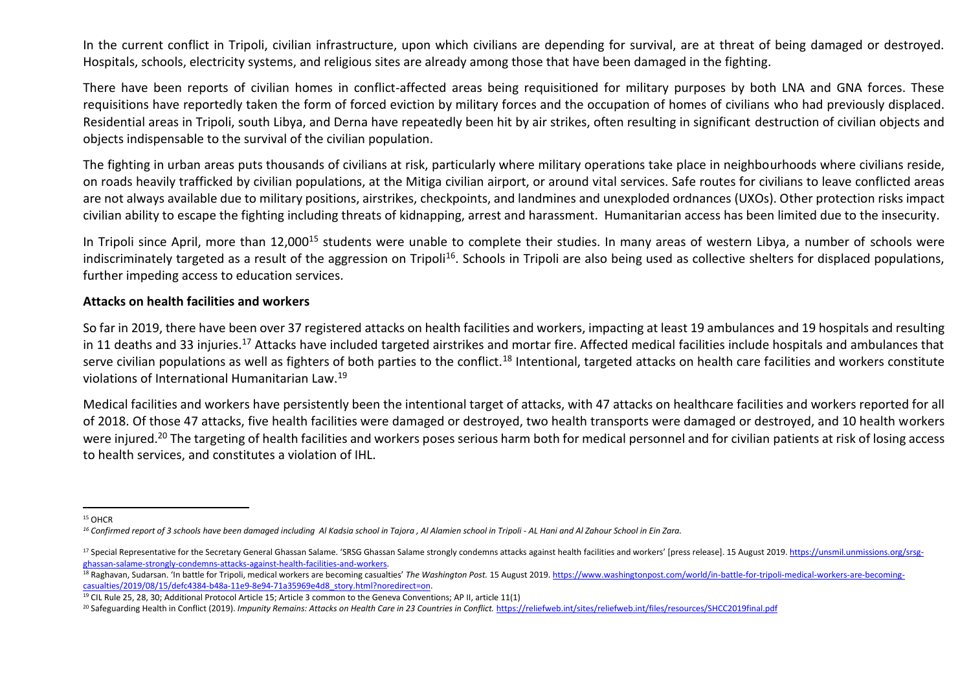In the current conflict in Tripoli, civilian infrastructure, upon which civilians are depending for survival, are at threat of being damaged or destroyed. Hospitals, schools, electricity systems, and religious sites are already among those that have been damaged in the fighting.

There have been reports of civilian homes in conflict-affected areas being requisitioned for military purposes by both LNA and GNA forces. These requisitions have reportedly taken the form of forced eviction by military forces and the occupation of homes of civilians who had previously displaced. Residential areas in Tripoli, south Libya, and Derna have repeatedly been hit by air strikes, often resulting in significant destruction of civilian objects and objects indispensable to the survival of the civilian population.

The fighting in urban areas puts thousands of civilians at risk, particularly where military operations take place in neighbourhoods where civilians reside, on roads heavily trafficked by civilian populations, at the Mitiga civilian airport, or around vital services. Safe routes for civilians to leave conflicted areas are not always available due to military positions, airstrikes, checkpoints, and landmines and unexploded ordnances (UXOs). Other protection risks impact civilian ability to escape the fighting including threats of kidnapping, arrest and harassment. Humanitarian access has been limited due to the insecurity.

In Tripoli since April, more than 12,000<sup>15</sup> students were unable to complete their studies. In many areas of western Libya, a number of schools were indiscriminately targeted as a result of the aggression on Tripoli<sup>16</sup>. Schools in Tripoli are also being used as collective shelters for displaced populations, further impeding access to education services.

#### **Attacks on health facilities and workers**

So far in 2019, there have been over 37 registered attacks on health facilities and workers, impacting at least 19 ambulances and 19 hospitals and resulting in 11 deaths and 33 injuries.<sup>17</sup> Attacks have included targeted airstrikes and mortar fire. Affected medical facilities include hospitals and ambulances that serve civilian populations as well as fighters of both parties to the conflict.<sup>18</sup> Intentional, targeted attacks on health care facilities and workers constitute violations of International Humanitarian Law.<sup>19</sup>

Medical facilities and workers have persistently been the intentional target of attacks, with 47 attacks on healthcare facilities and workers reported for all of 2018. Of those 47 attacks, five health facilities were damaged or destroyed, two health transports were damaged or destroyed, and 10 health workers were injured.<sup>20</sup> The targeting of health facilities and workers poses serious harm both for medical personnel and for civilian patients at risk of losing access to health services, and constitutes a violation of IHL.

 $\overline{\phantom{a}}$ <sup>15</sup> OHCR

*<sup>16</sup> Confirmed report of 3 schools have been damaged including Al Kadsia school in Tajora , Al Alamien school in Tripoli - AL Hani and Al Zahour School in Ein Zara.*

<sup>&</sup>lt;sup>17</sup> Special Representative for the Secretary General Ghassan Salame. 'SRSG Ghassan Salame strongly condemns attacks against health facilities and workers' [press release]. 15 August 2019. https://unsmil.unmissions.org/srs [ghassan-salame-strongly-condemns-attacks-against-health-facilities-and-workers.](https://unsmil.unmissions.org/srsg-ghassan-salame-strongly-condemns-attacks-against-health-facilities-and-workers)

<sup>&</sup>lt;sup>18</sup> Raghavan, Sudarsan. 'In battle for Tripoli, medical workers are becoming casualties' *The Washington Post.* 15 August 2019, https://www.washingtonpost.com/world/in-battle-for-tripoli-medical-workers-are-becoming[casualties/2019/08/15/defc4384-b48a-11e9-8e94-71a35969e4d8\\_story.html?noredirect=on.](https://www.washingtonpost.com/world/in-battle-for-tripoli-medical-workers-are-becoming-casualties/2019/08/15/defc4384-b48a-11e9-8e94-71a35969e4d8_story.html?noredirect=on)

<sup>19</sup> CIL Rule 25, 28, 30; Additional Protocol Article 15; Article 3 common to the Geneva Conventions; AP II, article 11(1)

<sup>&</sup>lt;sup>20</sup> Safeguarding Health in Conflict (2019). *Impunity Remains: Attacks on Health Care in 23 Countries in Conflict. <https://reliefweb.int/sites/reliefweb.int/files/resources/SHCC2019final.pdf>*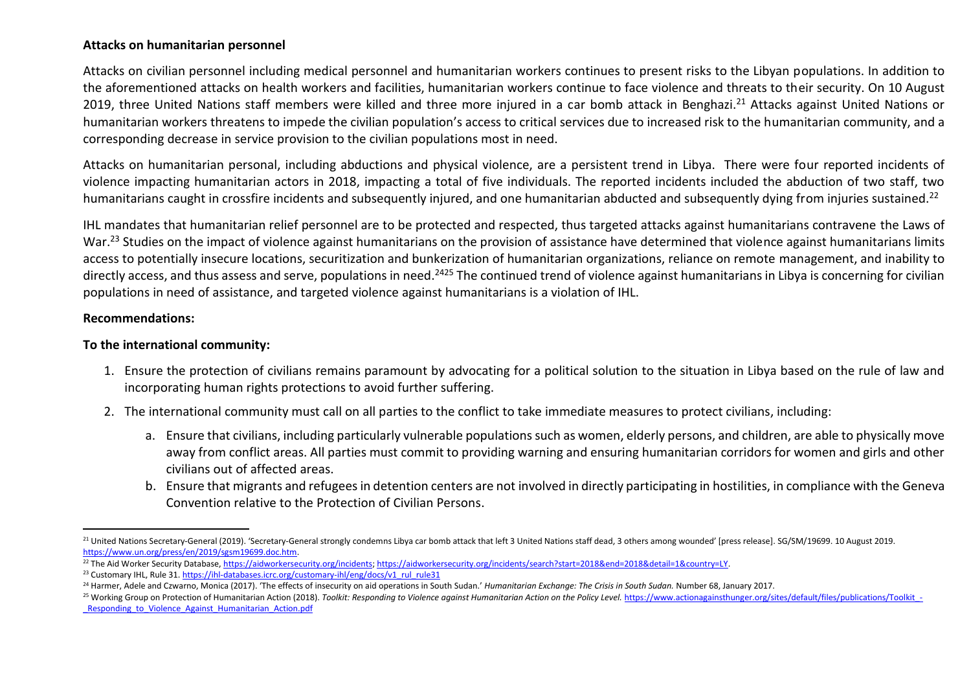#### **Attacks on humanitarian personnel**

Attacks on civilian personnel including medical personnel and humanitarian workers continues to present risks to the Libyan populations. In addition to the aforementioned attacks on health workers and facilities, humanitarian workers continue to face violence and threats to their security. On 10 August 2019, three United Nations staff members were killed and three more injured in a car bomb attack in Benghazi.<sup>21</sup> Attacks against United Nations or humanitarian workers threatens to impede the civilian population's access to critical services due to increased risk to the humanitarian community, and a corresponding decrease in service provision to the civilian populations most in need.

Attacks on humanitarian personal, including abductions and physical violence, are a persistent trend in Libya. There were four reported incidents of violence impacting humanitarian actors in 2018, impacting a total of five individuals. The reported incidents included the abduction of two staff, two humanitarians caught in crossfire incidents and subsequently injured, and one humanitarian abducted and subsequently dying from injuries sustained.<sup>22</sup>

IHL mandates that humanitarian relief personnel are to be protected and respected, thus targeted attacks against humanitarians contravene the Laws of War.<sup>23</sup> Studies on the impact of violence against humanitarians on the provision of assistance have determined that violence against humanitarians limits access to potentially insecure locations, securitization and bunkerization of humanitarian organizations, reliance on remote management, and inability to directly access, and thus assess and serve, populations in need.<sup>2425</sup> The continued trend of violence against humanitarians in Libya is concerning for civilian populations in need of assistance, and targeted violence against humanitarians is a violation of IHL.

#### **Recommendations:**

#### **To the international community:**

- 1. Ensure the protection of civilians remains paramount by advocating for a political solution to the situation in Libya based on the rule of law and incorporating human rights protections to avoid further suffering.
- 2. The international community must call on all parties to the conflict to take immediate measures to protect civilians, including:
	- a. Ensure that civilians, including particularly vulnerable populations such as women, elderly persons, and children, are able to physically move away from conflict areas. All parties must commit to providing warning and ensuring humanitarian corridors for women and girls and other civilians out of affected areas.
	- b. Ensure that migrants and refugees in detention centers are not involved in directly participating in hostilities, in compliance with the Geneva Convention relative to the Protection of Civilian Persons.

 $\overline{a}$ <sup>21</sup> United Nations Secretary-General (2019). 'Secretary-General strongly condemns Libya car bomb attack that left 3 United Nations staff dead, 3 others among wounded' [press release]. SG/SM/19699. 10 August 2019. [https://www.un.org/press/en/2019/sgsm19699.doc.htm.](https://www.un.org/press/en/2019/sgsm19699.doc.htm) 

 $^{22}$  The Aid Worker Security Database, [https://aidworkersecurity.org/incidents;](https://aidworkersecurity.org/incidents) [https://aidworkersecurity.org/incidents/search?start=2018&end=2018&detail=1&country=LY.](https://aidworkersecurity.org/incidents/search?start=2018&end=2018&detail=1&country=LY)

<sup>&</sup>lt;sup>23</sup> Customary IHL, Rule 31[. https://ihl-databases.icrc.org/customary-ihl/eng/docs/v1\\_rul\\_rule31](https://ihl-databases.icrc.org/customary-ihl/eng/docs/v1_rul_rule31)

<sup>&</sup>lt;sup>24</sup> Harmer, Adele and Czwarno, Monica (2017). 'The effects of insecurity on aid operations in South Sudan.' *Humanitarian Exchange: The Crisis in South Sudan*. Number 68, January 2017.

<sup>25</sup> Working Group on Protection of Humanitarian Action (2018). Toolkit: Responding to Violence against Humanitarian Action on the Policy Level. https://www.actionagainsthunger.org/sites/default/files/publications/Toolkit -[\\_Responding\\_to\\_Violence\\_Against\\_Humanitarian\\_Action.pdf](https://www.actionagainsthunger.org/sites/default/files/publications/Toolkit_-_Responding_to_Violence_Against_Humanitarian_Action.pdf)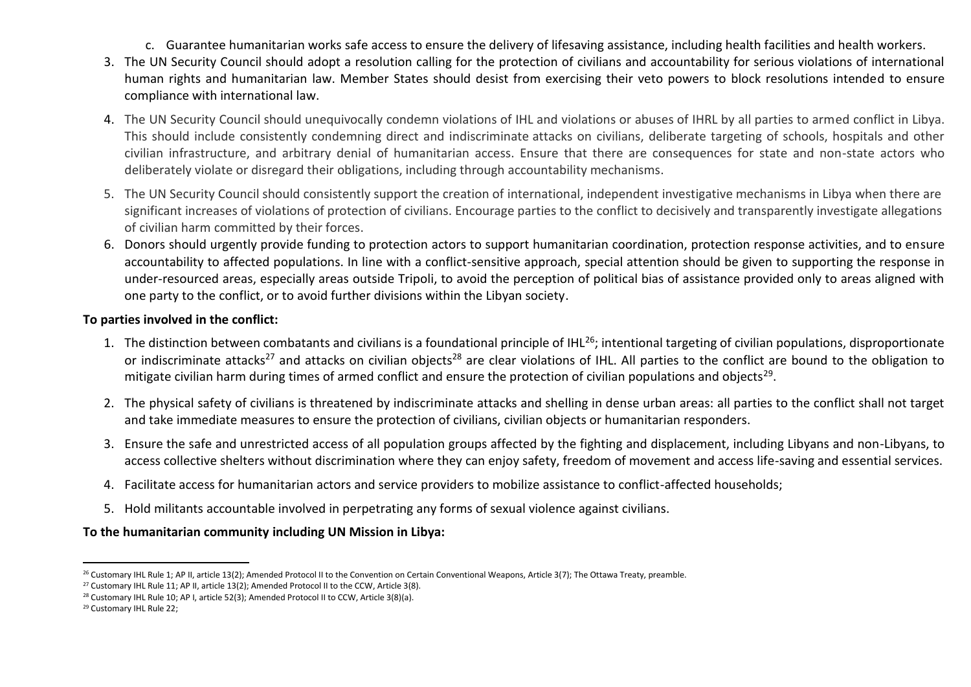- c. Guarantee humanitarian works safe access to ensure the delivery of lifesaving assistance, including health facilities and health workers.
- 3. The UN Security Council should adopt a resolution calling for the protection of civilians and accountability for serious violations of international human rights and humanitarian law. Member States should desist from exercising their veto powers to block resolutions intended to ensure compliance with international law.
- 4. The UN Security Council should unequivocally condemn violations of IHL and violations or abuses of IHRL by all parties to armed conflict in Libya. This should include consistently condemning direct and indiscriminate attacks on civilians, deliberate targeting of schools, hospitals and other civilian infrastructure, and arbitrary denial of humanitarian access. Ensure that there are consequences for state and non-state actors who deliberately violate or disregard their obligations, including through accountability mechanisms.
- 5. The UN Security Council should consistently support the creation of international, independent investigative mechanisms in Libya when there are significant increases of violations of protection of civilians. Encourage parties to the conflict to decisively and transparently investigate allegations of civilian harm committed by their forces.
- 6. Donors should urgently provide funding to protection actors to support humanitarian coordination, protection response activities, and to ensure accountability to affected populations. In line with a conflict-sensitive approach, special attention should be given to supporting the response in under-resourced areas, especially areas outside Tripoli, to avoid the perception of political bias of assistance provided only to areas aligned with one party to the conflict, or to avoid further divisions within the Libyan society.

#### **To parties involved in the conflict:**

- 1. The distinction between combatants and civilians is a foundational principle of IHL<sup>26</sup>; intentional targeting of civilian populations, disproportionate or indiscriminate attacks<sup>27</sup> and attacks on civilian objects<sup>28</sup> are clear violations of IHL. All parties to the conflict are bound to the obligation to mitigate civilian harm during times of armed conflict and ensure the protection of civilian populations and objects<sup>29</sup>.
- 2. The physical safety of civilians is threatened by indiscriminate attacks and shelling in dense urban areas: all parties to the conflict shall not target and take immediate measures to ensure the protection of civilians, civilian objects or humanitarian responders.
- 3. Ensure the safe and unrestricted access of all population groups affected by the fighting and displacement, including Libyans and non-Libyans, to access collective shelters without discrimination where they can enjoy safety, freedom of movement and access life-saving and essential services.
- 4. Facilitate access for humanitarian actors and service providers to mobilize assistance to conflict-affected households;
- 5. Hold militants accountable involved in perpetrating any forms of sexual violence against civilians.

# **To the humanitarian community including UN Mission in Libya:**

 $\overline{a}$ <sup>26</sup> Customary IHL Rule 1; AP II, article 13(2); Amended Protocol II to the Convention on Certain Conventional Weapons, Article 3(7); The Ottawa Treaty, preamble.

<sup>&</sup>lt;sup>27</sup> Customary IHL Rule 11; AP II, article 13(2); Amended Protocol II to the CCW, Article 3(8).

<sup>&</sup>lt;sup>28</sup> Customary IHL Rule 10; AP I, article 52(3); Amended Protocol II to CCW, Article 3(8)(a).

<sup>29</sup> Customary IHL Rule 22;